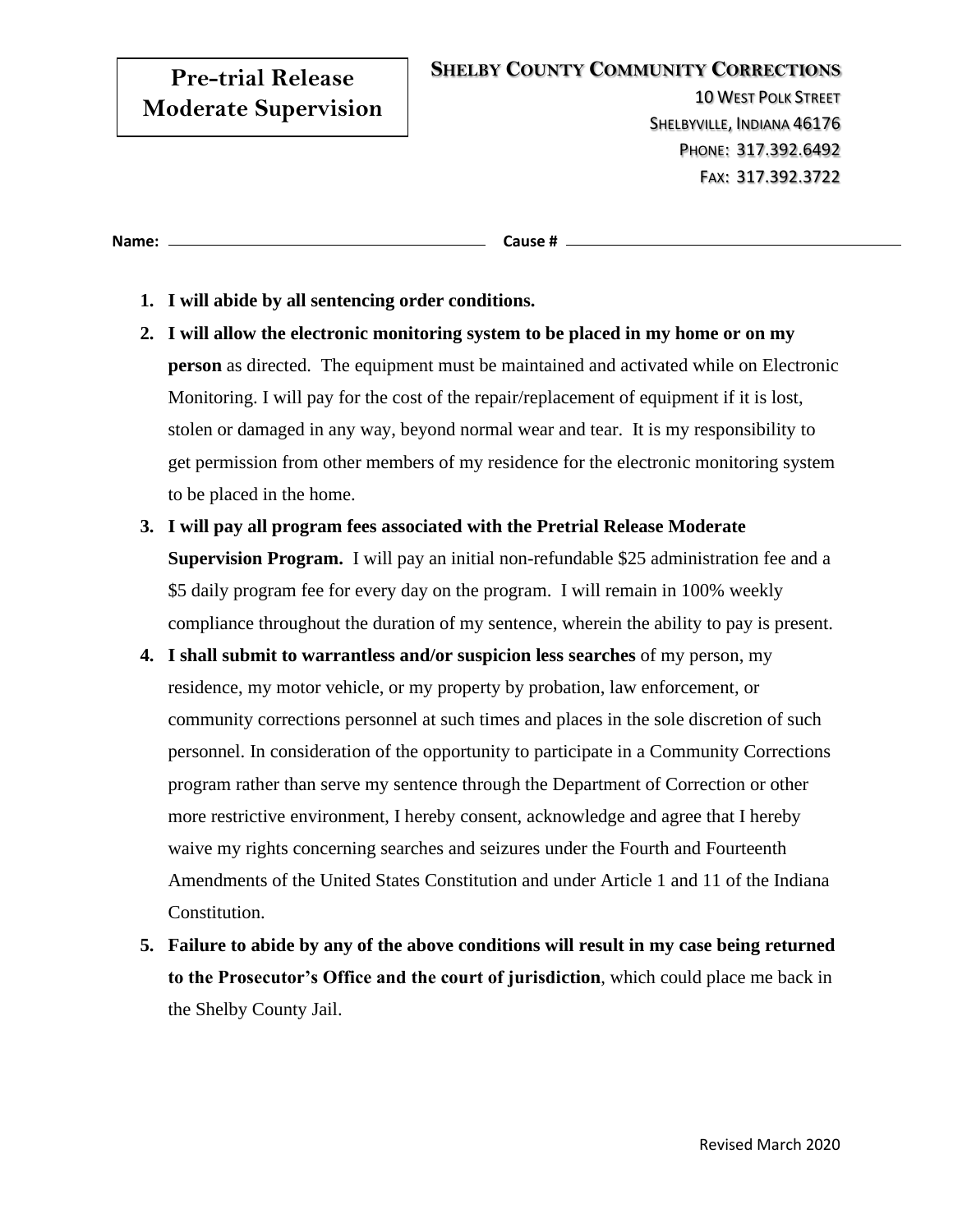# **Pre-trial Release Moderate Supervision**

10 WEST POLK STREET SHELBYVILLE, INDIANA 46176 PHONE: 317.392.6492 FAX: 317.392.3722

**Name: Cause #**

- **1. I will abide by all sentencing order conditions.**
- **2. I will allow the electronic monitoring system to be placed in my home or on my person** as directed. The equipment must be maintained and activated while on Electronic Monitoring. I will pay for the cost of the repair/replacement of equipment if it is lost, stolen or damaged in any way, beyond normal wear and tear. It is my responsibility to get permission from other members of my residence for the electronic monitoring system to be placed in the home.
- **3. I will pay all program fees associated with the Pretrial Release Moderate Supervision Program.** I will pay an initial non-refundable \$25 administration fee and a \$5 daily program fee for every day on the program. I will remain in 100% weekly compliance throughout the duration of my sentence, wherein the ability to pay is present.
- **4. I shall submit to warrantless and/or suspicion less searches** of my person, my residence, my motor vehicle, or my property by probation, law enforcement, or community corrections personnel at such times and places in the sole discretion of such personnel. In consideration of the opportunity to participate in a Community Corrections program rather than serve my sentence through the Department of Correction or other more restrictive environment, I hereby consent, acknowledge and agree that I hereby waive my rights concerning searches and seizures under the Fourth and Fourteenth Amendments of the United States Constitution and under Article 1 and 11 of the Indiana Constitution.
- **5. Failure to abide by any of the above conditions will result in my case being returned to the Prosecutor's Office and the court of jurisdiction**, which could place me back in the Shelby County Jail.